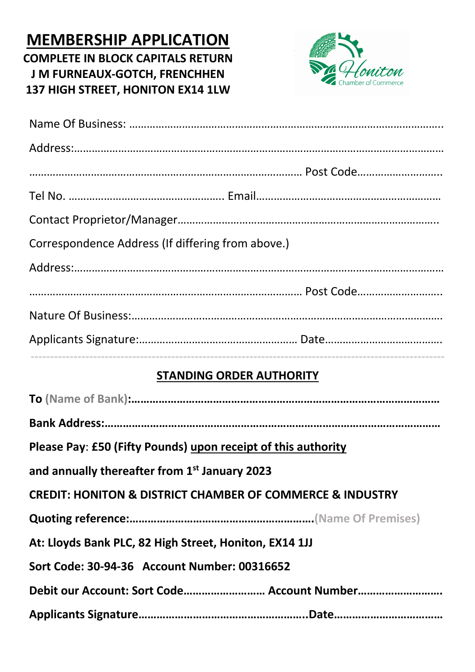## **MEMBERSHIP APPLICATION COMPLETE IN BLOCK CAPITALS RETURN J M FURNEAUX-GOTCH, FRENCHHEN 137 HIGH STREET, HONITON EX14 1LW**



| Correspondence Address (If differing from above.) |  |
|---------------------------------------------------|--|
|                                                   |  |
|                                                   |  |
|                                                   |  |
|                                                   |  |
|                                                   |  |

## **STANDING ORDER AUTHORITY**

| Please Pay: £50 (Fifty Pounds) upon receipt of this authority            |  |  |
|--------------------------------------------------------------------------|--|--|
| and annually thereafter from 1 <sup>st</sup> January 2023                |  |  |
| <b>CREDIT: HONITON &amp; DISTRICT CHAMBER OF COMMERCE &amp; INDUSTRY</b> |  |  |
|                                                                          |  |  |
| At: Lloyds Bank PLC, 82 High Street, Honiton, EX14 1JJ                   |  |  |
| Sort Code: 30-94-36 Account Number: 00316652                             |  |  |
| Debit our Account: Sort Code Account Number                              |  |  |
|                                                                          |  |  |